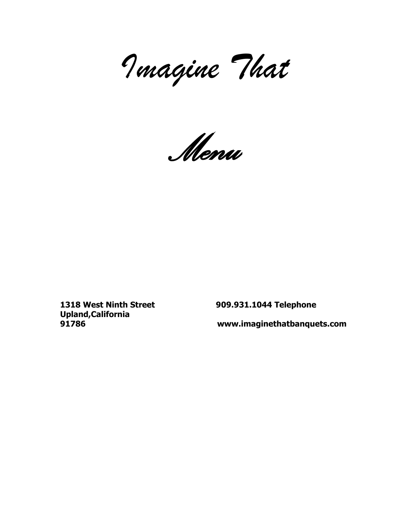*Imagine That*

*Menu*

**Upland,California** 

**1318 West Ninth Street 909.931.1044 Telephone**

**91786 www.imaginethatbanquets.com**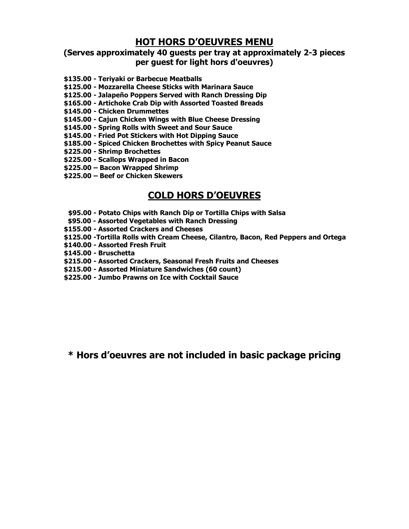# **HOT HORS D'OEUVRES MENU**

## **(Serves approximately 40 guests per tray at approximately 2-3 pieces per guest for light hors d'oeuvres)**

- **\$135.00 - Teriyaki or Barbecue Meatballs**
- **\$125.00 - Mozzarella Cheese Sticks with Marinara Sauce**
- **\$125.00 - Jalapeño Poppers Served with Ranch Dressing Dip**
- **\$165.00 - Artichoke Crab Dip with Assorted Toasted Breads**
- **\$145.00 - Chicken Drummettes**
- **\$145.00 - Cajun Chicken Wings with Blue Cheese Dressing**
- **\$145.00 - Spring Rolls with Sweet and Sour Sauce**
- **\$145.00 - Fried Pot Stickers with Hot Dipping Sauce**
- **\$185.00 - Spiced Chicken Brochettes with Spicy Peanut Sauce**
- **\$225.00 - Shrimp Brochettes**
- **\$225.00 - Scallops Wrapped in Bacon**
- **\$225.00 – Bacon Wrapped Shrimp**
- **\$225.00 – Beef or Chicken Skewers**

# **COLD HORS D'OEUVRES**

- **\$95.00 - Potato Chips with Ranch Dip or Tortilla Chips with Salsa**
- **\$95.00 - Assorted Vegetables with Ranch Dressing**
- **\$155.00 - Assorted Crackers and Cheeses**
- **\$125.00 -Tortilla Rolls with Cream Cheese, Cilantro, Bacon, Red Peppers and Ortega**
- **\$140.00 - Assorted Fresh Fruit**
- **\$145.00 - Bruschetta**
- **\$215.00 - Assorted Crackers, Seasonal Fresh Fruits and Cheeses**
- **\$215.00 - Assorted Miniature Sandwiches (60 count)**
- **\$225.00 - Jumbo Prawns on Ice with Cocktail Sauce**

**\* Hors d'oeuvres are not included in basic package pricing**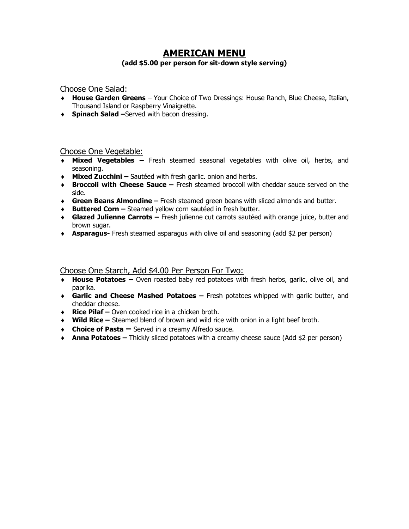# **AMERICAN MENU**

#### **(add \$5.00 per person for sit-down style serving)**

### Choose One Salad:

- **House Garden Greens** Your Choice of Two Dressings: House Ranch, Blue Cheese, Italian, Thousand Island or Raspberry Vinaigrette.
- **Spinach Salad –**Served with bacon dressing.

### Choose One Vegetable:

- **Mixed Vegetables –** Fresh steamed seasonal vegetables with olive oil, herbs, and seasoning.
- **Mixed Zucchini –** Sautéed with fresh garlic. onion and herbs.
- **Broccoli with Cheese Sauce –** Fresh steamed broccoli with cheddar sauce served on the side.
- **Green Beans Almondine –** Fresh steamed green beans with sliced almonds and butter.
- **Buttered Corn –** Steamed yellow corn sautéed in fresh butter.
- **Glazed Julienne Carrots –** Fresh julienne cut carrots sautéed with orange juice, butter and brown sugar.
- **Asparagus-** Fresh steamed asparagus with olive oil and seasoning (add \$2 per person)

### Choose One Starch, Add \$4.00 Per Person For Two:

- **House Potatoes –** Oven roasted baby red potatoes with fresh herbs, garlic, olive oil, and paprika.
- **Garlic and Cheese Mashed Potatoes –** Fresh potatoes whipped with garlic butter, and cheddar cheese.
- **Rice Pilaf –** Oven cooked rice in a chicken broth.
- **Wild Rice –** Steamed blend of brown and wild rice with onion in a light beef broth.
- **Choice of Pasta –** Served in a creamy Alfredo sauce.
- **Anna Potatoes –** Thickly sliced potatoes with a creamy cheese sauce (Add \$2 per person)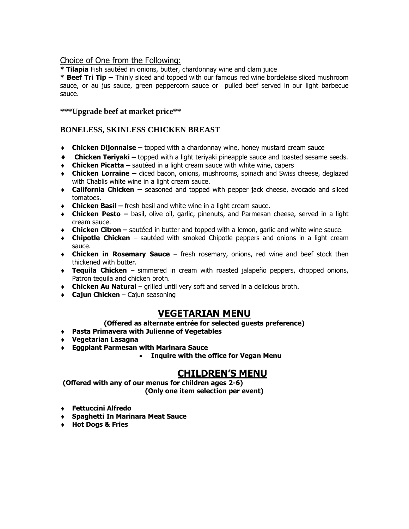### Choice of One from the Following:

**\* Tilapia** Fish sautéed in onions, butter, chardonnay wine and clam juice

**\* Beef Tri Tip –** Thinly sliced and topped with our famous red wine bordelaise sliced mushroom sauce, or au jus sauce, green peppercorn sauce or pulled beef served in our light barbecue sauce.

### **\*\*\*Upgrade beef at market price\*\***

### **BONELESS, SKINLESS CHICKEN BREAST**

- **Chicken Dijonnaise –** topped with a chardonnay wine, honey mustard cream sauce
- **Chicken Teriyaki –** topped with a light teriyaki pineapple sauce and toasted sesame seeds.
- **Chicken Picatta –** sautéed in a light cream sauce with white wine, capers
- **Chicken Lorraine –** diced bacon, onions, mushrooms, spinach and Swiss cheese, deglazed with Chablis white wine in a light cream sauce.
- **California Chicken –** seasoned and topped with pepper jack cheese, avocado and sliced tomatoes.
- **Chicken Basil –** fresh basil and white wine in a light cream sauce.
- **Chicken Pesto –** basil, olive oil, garlic, pinenuts, and Parmesan cheese, served in a light cream sauce.
- **Chicken Citron –** sautéed in butter and topped with a lemon, garlic and white wine sauce.
- **Chipotle Chicken** sautéed with smoked Chipotle peppers and onions in a light cream sauce.
- **Chicken in Rosemary Sauce** fresh rosemary, onions, red wine and beef stock then thickened with butter.
- **Tequila Chicken** simmered in cream with roasted jalapeño peppers, chopped onions, Patron tequila and chicken broth.
- **Chicken Au Natural** grilled until very soft and served in a delicious broth.
- **Cajun Chicken** Cajun seasoning

## **VEGETARIAN MENU**

#### **(Offered as alternate entrée for selected guests preference)**

- **Pasta Primavera with Julienne of Vegetables**
- **Vegetarian Lasagna**
- **Eggplant Parmesan with Marinara Sauce**
	- **Inquire with the office for Vegan Menu**

# **CHILDREN'S MENU**

**(Offered with any of our menus for children ages 2-6) (Only one item selection per event)**

- **Fettuccini Alfredo**
- **Spaghetti In Marinara Meat Sauce**
- **Hot Dogs & Fries**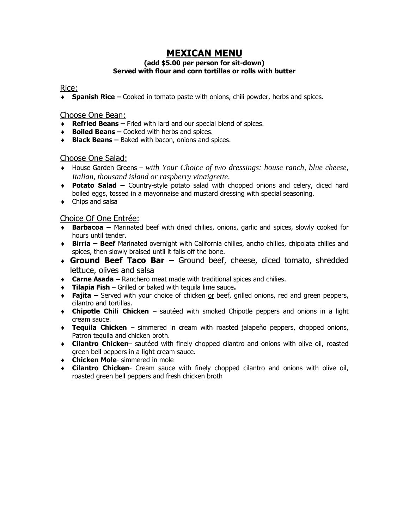# **MEXICAN MENU**

## **(add \$5.00 per person for sit-down) Served with flour and corn tortillas or rolls with butter**

### Rice:

**Spanish Rice –** Cooked in tomato paste with onions, chili powder, herbs and spices.

### Choose One Bean:

- **Refried Beans –** Fried with lard and our special blend of spices.
- **Boiled Beans –** Cooked with herbs and spices.
- **Black Beans –** Baked with bacon, onions and spices.

### Choose One Salad:

- House Garden Greens *with Your Choice of two dressings: house ranch, blue cheese*, *Italian, thousand island or raspberry vinaigrette*.
- **Potato Salad –** Country-style potato salad with chopped onions and celery, diced hard boiled eggs, tossed in a mayonnaise and mustard dressing with special seasoning.
- Chips and salsa

## Choice Of One Entrée:

- **Barbacoa –** Marinated beef with dried chilies, onions, garlic and spices, slowly cooked for hours until tender.
- **Birria – Beef** Marinated overnight with California chilies, ancho chilies, chipolata chilies and spices, then slowly braised until it falls off the bone.
- **Ground Beef Taco Bar –** Ground beef, cheese, diced tomato, shredded lettuce, olives and salsa
- **Carne Asada –** Ranchero meat made with traditional spices and chilies.
- **Tilapia Fish** Grilled or baked with tequila lime sauce**.**
- **Fajita –** Served with your choice of chicken or beef, grilled onions, red and green peppers, cilantro and tortillas.
- **Chipotle Chili Chicken** sautéed with smoked Chipotle peppers and onions in a light cream sauce.
- **Tequila Chicken** simmered in cream with roasted jalapeño peppers, chopped onions, Patron tequila and chicken broth.
- **Cilantro Chicken** sautéed with finely chopped cilantro and onions with olive oil, roasted green bell peppers in a light cream sauce.
- **Chicken Mole** simmered in mole
- **Cilantro Chicken** Cream sauce with finely chopped cilantro and onions with olive oil, roasted green bell peppers and fresh chicken broth